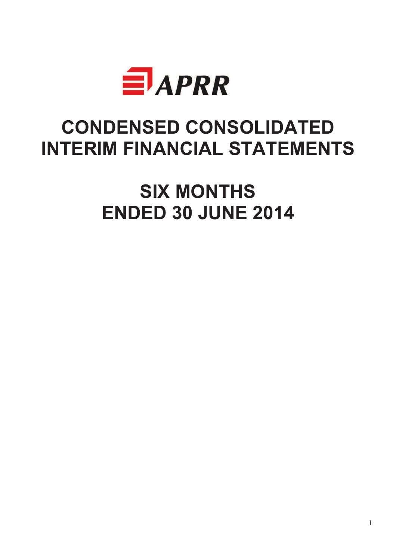

# **CONDENSED CONSOLIDATED INTERIM FINANCIAL STATEMENTS**

**SIX MONTHS ENDED 30 JUNE 2014**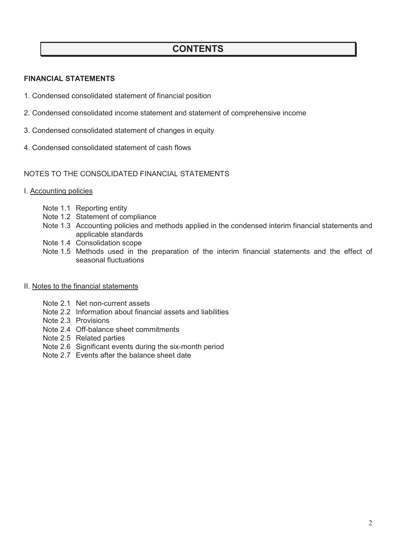### **CONTENTS**

#### **FINANCIAL STATEMENTS**

- 1. Condensed consolidated statement of financial position
- 2. Condensed consolidated income statement and statement of comprehensive income
- 3. Condensed consolidated statement of changes in equity
- 4. Condensed consolidated statement of cash flows

#### NOTES TO THE CONSOLIDATED FINANCIAL STATEMENTS

- I. Accounting policies
	- Note 1.1 Reporting entity
	- Note 1.2 Statement of compliance
	- Note 1.3 Accounting policies and methods applied in the condensed interim financial statements and applicable standards
	- Note 1.4 Consolidation scope
	- Note 1.5 Methods used in the preparation of the interim financial statements and the effect of seasonal fluctuations
- II. Notes to the financial statements
	- Note 2.1 Net non-current assets
	- Note 2.2 Information about financial assets and liabilities
	- Note 2.3 Provisions
	- Note 2.4 Off-balance sheet commitments
	- Note 2.5 Related parties
	- Note 2.6 Significant events during the six-month period
	- Note 2.7 Events after the balance sheet date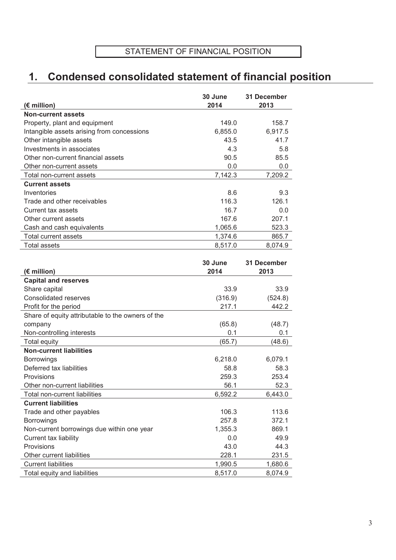# **1. Condensed consolidated statement of financial position**

|                                            | 30 June | 31 December |
|--------------------------------------------|---------|-------------|
| (€ million)                                | 2014    | 2013        |
| <b>Non-current assets</b>                  |         |             |
| Property, plant and equipment              | 149.0   | 158.7       |
| Intangible assets arising from concessions | 6,855.0 | 6,917.5     |
| Other intangible assets                    | 43.5    | 41.7        |
| Investments in associates                  | 4.3     | 5.8         |
| Other non-current financial assets         | 90.5    | 85.5        |
| Other non-current assets                   | 0.0     | 0.0         |
| Total non-current assets                   | 7,142.3 | 7,209.2     |
| <b>Current assets</b>                      |         |             |
| Inventories                                | 8.6     | 9.3         |
| Trade and other receivables                | 116.3   | 126.1       |
| Current tax assets                         | 16.7    | 0.0         |
| Other current assets                       | 167.6   | 207.1       |
| Cash and cash equivalents                  | 1,065.6 | 523.3       |
| Total current assets                       | 1,374.6 | 865.7       |
| <b>Total assets</b>                        | 8.517.0 | 8.074.9     |

|                                                   | 30 June | <b>31 December</b> |
|---------------------------------------------------|---------|--------------------|
| (€ million)                                       | 2014    | 2013               |
| <b>Capital and reserves</b>                       |         |                    |
| Share capital                                     | 33.9    | 33.9               |
| Consolidated reserves                             | (316.9) | (524.8)            |
| Profit for the period                             | 217.1   | 442.2              |
| Share of equity attributable to the owners of the |         |                    |
| company                                           | (65.8)  | (48.7)             |
| Non-controlling interests                         | 0.1     | 0.1                |
| Total equity                                      | (65.7)  | (48.6)             |
| <b>Non-current liabilities</b>                    |         |                    |
| <b>Borrowings</b>                                 | 6,218.0 | 6,079.1            |
| Deferred tax liabilities                          | 58.8    | 58.3               |
| Provisions                                        | 259.3   | 253.4              |
| Other non-current liabilities                     | 56.1    | 52.3               |
| Total non-current liabilities                     | 6,592.2 | 6,443.0            |
| <b>Current liabilities</b>                        |         |                    |
| Trade and other payables                          | 106.3   | 113.6              |
| Borrowings                                        | 257.8   | 372.1              |
| Non-current borrowings due within one year        | 1,355.3 | 869.1              |
| Current tax liability                             | 0.0     | 49.9               |
| Provisions                                        | 43.0    | 44.3               |
| Other current liabilities                         | 228.1   | 231.5              |
| <b>Current liabilities</b>                        | 1,990.5 | 1,680.6            |
| Total equity and liabilities                      | 8,517.0 | 8,074.9            |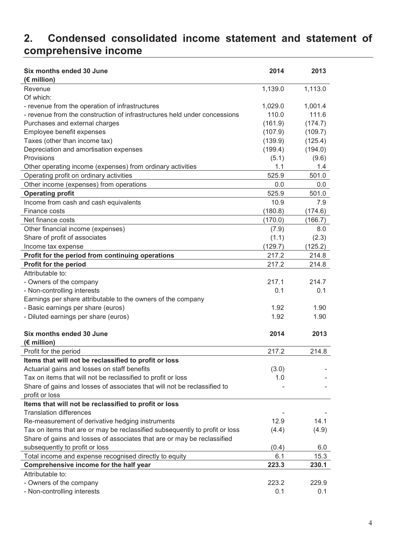# **2. Condensed consolidated income statement and statement of comprehensive income**

| Six months ended 30 June<br>(€ million)                                     | 2014             | 2013             |
|-----------------------------------------------------------------------------|------------------|------------------|
| Revenue                                                                     | 1,139.0          | 1,113.0          |
| Of which:                                                                   |                  |                  |
| - revenue from the operation of infrastructures                             | 1,029.0          | 1,001.4          |
| - revenue from the construction of infrastructures held under concessions   | 110.0            | 111.6            |
| Purchases and external charges                                              | (161.9)          | (174.7)          |
| Employee benefit expenses                                                   | (107.9)          | (109.7)          |
| Taxes (other than income tax)                                               | (139.9)          | (125.4)          |
| Depreciation and amortisation expenses                                      | (199.4)          | (194.0)          |
| Provisions                                                                  | (5.1)            | (9.6)            |
| Other operating income (expenses) from ordinary activities                  | 1.1              | 1.4              |
| Operating profit on ordinary activities                                     | 525.9            | 501.0            |
| Other income (expenses) from operations                                     | 0.0              | 0.0              |
| <b>Operating profit</b>                                                     | 525.9            | 501.0            |
| Income from cash and cash equivalents                                       | 10.9             | 7.9              |
| Finance costs                                                               | (180.8)          | (174.6)          |
| Net finance costs                                                           | (170.0)          | (166.7)          |
| Other financial income (expenses)                                           | (7.9)            | 8.0              |
| Share of profit of associates                                               | (1.1)            |                  |
|                                                                             |                  | (2.3)            |
| Income tax expense                                                          | (129.7)<br>217.2 | (125.2)<br>214.8 |
| Profit for the period from continuing operations                            |                  |                  |
| Profit for the period                                                       | 217.2            | 214.8            |
| Attributable to:                                                            |                  |                  |
| - Owners of the company                                                     | 217.1            | 214.7            |
| - Non-controlling interests                                                 | 0.1              | 0.1              |
| Earnings per share attributable to the owners of the company                |                  |                  |
| - Basic earnings per share (euros)                                          | 1.92             | 1.90             |
| - Diluted earnings per share (euros)                                        | 1.92             | 1.90             |
| Six months ended 30 June                                                    | 2014             | 2013             |
| $(E$ million)                                                               |                  |                  |
| Profit for the period                                                       | 217.2            | 214.8            |
| Items that will not be reclassified to profit or loss                       |                  |                  |
| Actuarial gains and losses on staff benefits                                | (3.0)            |                  |
| Tax on items that will not be reclassified to profit or loss                | 1.0              |                  |
| Share of gains and losses of associates that will not be reclassified to    |                  |                  |
| profit or loss                                                              |                  |                  |
| Items that will not be reclassified to profit or loss                       |                  |                  |
| <b>Translation differences</b>                                              |                  |                  |
| Re-measurement of derivative hedging instruments                            | 12.9             | 14.1             |
| Tax on items that are or may be reclassified subsequently to profit or loss | (4.4)            | (4.9)            |
| Share of gains and losses of associates that are or may be reclassified     |                  |                  |
| subsequently to profit or loss                                              | (0.4)            | 6.0              |
| Total income and expense recognised directly to equity                      | 6.1              | 15.3             |
| Comprehensive income for the half year                                      | 223.3            | 230.1            |
| Attributable to:                                                            |                  |                  |
| - Owners of the company                                                     | 223.2            | 229.9            |
| - Non-controlling interests                                                 | 0.1              | 0.1              |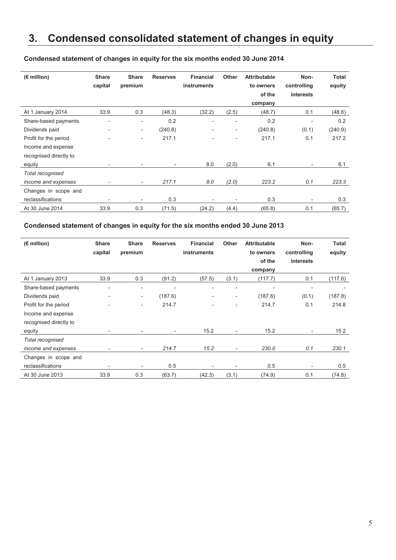### **3. Condensed consolidated statement of changes in equity**

| $(E$ million)          | <b>Share</b>             | <b>Share</b>             | <b>Reserves</b>          | <b>Financial</b>   | <b>Other</b>             | <b>Attributable</b> | Non-                         | <b>Total</b> |
|------------------------|--------------------------|--------------------------|--------------------------|--------------------|--------------------------|---------------------|------------------------------|--------------|
|                        | capital                  | premium                  |                          | <b>instruments</b> |                          | to owners           | controlling                  | equity       |
|                        |                          |                          |                          |                    |                          | of the              | <i>interests</i>             |              |
|                        |                          |                          |                          |                    |                          | company             |                              |              |
| At 1 January 2014      | 33.9                     | 0.3                      | (48.3)                   | (32.2)             | (2.5)                    | (48.7)              | 0.1                          | (48.6)       |
| Share-based payments   | $\overline{\phantom{0}}$ | $\overline{\phantom{0}}$ | 0.2                      |                    | $\overline{\phantom{a}}$ | 0.2                 | $\qquad \qquad \blacksquare$ | 0.2          |
| Dividends paid         | $\overline{\phantom{0}}$ | $\overline{\phantom{a}}$ | (240.8)                  |                    | $\overline{\phantom{a}}$ | (240.8)             | (0.1)                        | (240.9)      |
| Profit for the period  |                          | $\overline{\phantom{0}}$ | 217.1                    |                    |                          | 217.1               | 0.1                          | 217.2        |
| Income and expense     |                          |                          |                          |                    |                          |                     |                              |              |
| recognised directly to |                          |                          |                          |                    |                          |                     |                              |              |
| equity                 |                          |                          | $\overline{\phantom{a}}$ | 8.0                | (2.0)                    | 6.1                 | $\overline{\phantom{a}}$     | 6.1          |
| Total recognised       |                          |                          |                          |                    |                          |                     |                              |              |
| income and expenses    | ٠                        | ۰.                       | 217.1                    | 8.0                | (2.0)                    | 223.2               | 0.1                          | 223.3        |
| Changes in scope and   |                          |                          |                          |                    |                          |                     |                              |              |
| reclassifications      |                          |                          | 0.3                      |                    | $\overline{\phantom{0}}$ | 0.3                 | $\overline{\phantom{a}}$     | 0.3          |
| At 30 June 2014        | 33.9                     | 0.3                      | (71.5)                   | (24.2)             | (4.4)                    | (65.8)              | 0.1                          | (65.7)       |

#### **Condensed statement of changes in equity for the six months ended 30 June 2014**

#### **Condensed statement of changes in equity for the six months ended 30 June 2013**

| $(E$ million)          | <b>Share</b>                 | <b>Share</b>             | <b>Reserves</b>          | <b>Financial</b>         | Other                    | <b>Attributable</b> | Non-                         | Total   |
|------------------------|------------------------------|--------------------------|--------------------------|--------------------------|--------------------------|---------------------|------------------------------|---------|
|                        | capital                      | premium                  |                          | <b>instruments</b>       |                          | to owners           | controlling                  | equity  |
|                        |                              |                          |                          |                          |                          | of the              | <i>interests</i>             |         |
|                        |                              |                          |                          |                          |                          | company             |                              |         |
| At 1 January 2013      | 33.9                         | 0.3                      | (91.2)                   | (57.5)                   | (3.1)                    | (117.7)             | 0.1                          | (117.6) |
| Share-based payments   | $\overline{\phantom{0}}$     | $\overline{\phantom{0}}$ | $\overline{\phantom{0}}$ | $\overline{\phantom{0}}$ | $\overline{\phantom{a}}$ |                     | $\qquad \qquad \blacksquare$ |         |
| Dividends paid         | $\qquad \qquad \blacksquare$ | $\overline{\phantom{a}}$ | (187.6)                  | -                        | $\overline{\phantom{a}}$ | (187.6)             | (0.1)                        | (187.8) |
| Profit for the period  |                              | $\overline{\phantom{0}}$ | 214.7                    |                          |                          | 214.7               | 0.1                          | 214.8   |
| Income and expense     |                              |                          |                          |                          |                          |                     |                              |         |
| recognised directly to |                              |                          |                          |                          |                          |                     |                              |         |
| equity                 | $\overline{\phantom{0}}$     |                          | $\overline{\phantom{a}}$ | 15.2                     | $\overline{a}$           | 15.2                | $\overline{\phantom{0}}$     | 15.2    |
| Total recognised       |                              |                          |                          |                          |                          |                     |                              |         |
| income and expenses    | $\overline{\phantom{a}}$     | ۰.                       | 214.7                    | 15.2                     | $\overline{\phantom{a}}$ | 230.0               | 0.1                          | 230.1   |
| Changes in scope and   |                              |                          |                          |                          |                          |                     |                              |         |
| reclassifications      |                              | $\overline{\phantom{0}}$ | 0.5                      |                          | $\overline{\phantom{0}}$ | 0.5                 | $\overline{\phantom{0}}$     | 0.5     |
| At 30 June 2013        | 33.9                         | 0.3                      | (63.7)                   | (42.3)                   | (3.1)                    | (74.9)              | 0.1                          | (74.8)  |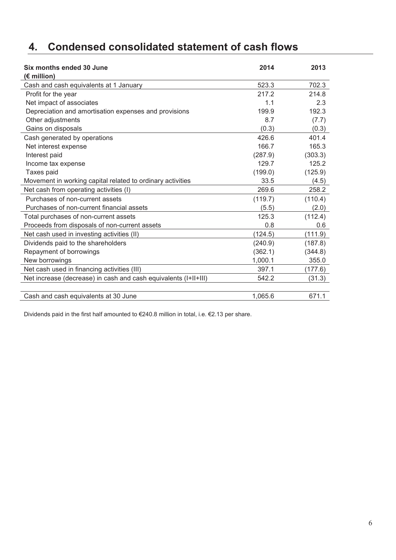# **4. Condensed consolidated statement of cash flows**

| Six months ended 30 June<br>$(E$ million)                       | 2014    | 2013    |
|-----------------------------------------------------------------|---------|---------|
| Cash and cash equivalents at 1 January                          | 523.3   | 702.3   |
| Profit for the year                                             | 217.2   | 214.8   |
| Net impact of associates                                        | 1.1     | 2.3     |
| Depreciation and amortisation expenses and provisions           | 199.9   | 192.3   |
| Other adjustments                                               | 8.7     | (7.7)   |
| Gains on disposals                                              | (0.3)   | (0.3)   |
| Cash generated by operations                                    | 426.6   | 401.4   |
| Net interest expense                                            | 166.7   | 165.3   |
| Interest paid                                                   | (287.9) | (303.3) |
| Income tax expense                                              | 129.7   | 125.2   |
| Taxes paid                                                      | (199.0) | (125.9) |
| Movement in working capital related to ordinary activities      | 33.5    | (4.5)   |
| Net cash from operating activities (I)                          | 269.6   | 258.2   |
| Purchases of non-current assets                                 | (119.7) | (110.4) |
| Purchases of non-current financial assets                       | (5.5)   | (2.0)   |
| Total purchases of non-current assets                           | 125.3   | (112.4) |
| Proceeds from disposals of non-current assets                   | 0.8     | 0.6     |
| Net cash used in investing activities (II)                      | (124.5) | (111.9) |
| Dividends paid to the shareholders                              | (240.9) | (187.8) |
| Repayment of borrowings                                         | (362.1) | (344.8) |
| New borrowings                                                  | 1,000.1 | 355.0   |
| Net cash used in financing activities (III)                     | 397.1   | (177.6) |
| Net increase (decrease) in cash and cash equivalents (I+II+III) | 542.2   | (31.3)  |
|                                                                 |         |         |
| Cash and cash equivalents at 30 June                            | 1,065.6 | 671.1   |

Dividends paid in the first half amounted to €240.8 million in total, i.e. €2.13 per share.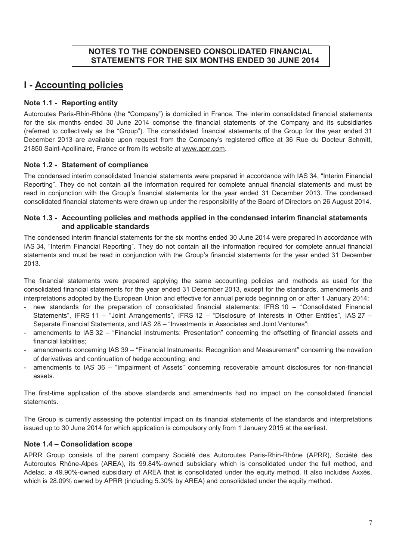#### **NOTES TO THE CONDENSED CONSOLIDATED FINANCIAL STATEMENTS FOR THE SIX MONTHS ENDED 30 JUNE 2014**

### **I - Accounting policies**

#### **Note 1.1 - Reporting entity**

Autoroutes Paris-Rhin-Rhône (the "Company") is domiciled in France. The interim consolidated financial statements for the six months ended 30 June 2014 comprise the financial statements of the Company and its subsidiaries (referred to collectively as the "Group"). The consolidated financial statements of the Group for the year ended 31 December 2013 are available upon request from the Company's registered office at 36 Rue du Docteur Schmitt, 21850 Saint-Apollinaire, France or from its website at www.aprr.com.

#### **Note 1.2 - Statement of compliance**

The condensed interim consolidated financial statements were prepared in accordance with IAS 34, "Interim Financial Reporting". They do not contain all the information required for complete annual financial statements and must be read in conjunction with the Group's financial statements for the year ended 31 December 2013. The condensed consolidated financial statements were drawn up under the responsibility of the Board of Directors on 26 August 2014.

#### **Note 1.3 - Accounting policies and methods applied in the condensed interim financial statements and applicable standards**

The condensed interim financial statements for the six months ended 30 June 2014 were prepared in accordance with IAS 34, "Interim Financial Reporting". They do not contain all the information required for complete annual financial statements and must be read in conjunction with the Group's financial statements for the year ended 31 December 2013.

The financial statements were prepared applying the same accounting policies and methods as used for the consolidated financial statements for the year ended 31 December 2013, except for the standards, amendments and interpretations adopted by the European Union and effective for annual periods beginning on or after 1 January 2014:

- new standards for the preparation of consolidated financial statements: IFRS 10 "Consolidated Financial Statements", IFRS 11 – "Joint Arrangements", IFRS 12 – "Disclosure of Interests in Other Entities", IAS 27 – Separate Financial Statements, and IAS 28 – "Investments in Associates and Joint Ventures";
- amendments to IAS 32 "Financial Instruments: Presentation" concerning the offsetting of financial assets and financial liabilities;
- amendments concerning IAS 39 "Financial Instruments: Recognition and Measurement" concerning the novation of derivatives and continuation of hedge accounting; and
- amendments to IAS 36 "Impairment of Assets" concerning recoverable amount disclosures for non-financial assets.

The first-time application of the above standards and amendments had no impact on the consolidated financial statements.

The Group is currently assessing the potential impact on its financial statements of the standards and interpretations issued up to 30 June 2014 for which application is compulsory only from 1 January 2015 at the earliest.

#### **Note 1.4 – Consolidation scope**

APRR Group consists of the parent company Société des Autoroutes Paris-Rhin-Rhône (APRR), Société des Autoroutes Rhône-Alpes (AREA), its 99.84%-owned subsidiary which is consolidated under the full method, and Adelac, a 49.90%-owned subsidiary of AREA that is consolidated under the equity method. It also includes Axxès, which is 28.09% owned by APRR (including 5.30% by AREA) and consolidated under the equity method.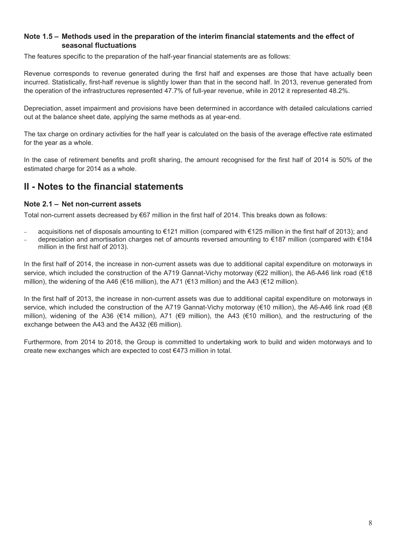#### **Note 1.5 – Methods used in the preparation of the interim financial statements and the effect of seasonal fluctuations**

The features specific to the preparation of the half-year financial statements are as follows:

Revenue corresponds to revenue generated during the first half and expenses are those that have actually been incurred. Statistically, first-half revenue is slightly lower than that in the second half. In 2013, revenue generated from the operation of the infrastructures represented 47.7% of full-year revenue, while in 2012 it represented 48.2%.

Depreciation, asset impairment and provisions have been determined in accordance with detailed calculations carried out at the balance sheet date, applying the same methods as at year-end.

The tax charge on ordinary activities for the half year is calculated on the basis of the average effective rate estimated for the year as a whole.

In the case of retirement benefits and profit sharing, the amount recognised for the first half of 2014 is 50% of the estimated charge for 2014 as a whole.

### **II - Notes to the financial statements**

#### **Note 2.1 – Net non-current assets**

Total non-current assets decreased by €67 million in the first half of 2014. This breaks down as follows:

- − acquisitions net of disposals amounting to €121 million (compared with €125 million in the first half of 2013); and
- − depreciation and amortisation charges net of amounts reversed amounting to €187 million (compared with €184
- million in the first half of 2013).

In the first half of 2014, the increase in non-current assets was due to additional capital expenditure on motorways in service, which included the construction of the A719 Gannat-Vichy motorway (€22 million), the A6-A46 link road (€18 million), the widening of the A46 (€16 million), the A71 (€13 million) and the A43 (€12 million).

In the first half of 2013, the increase in non-current assets was due to additional capital expenditure on motorways in service, which included the construction of the A719 Gannat-Vichy motorway (€10 million), the A6-A46 link road (€8 million), widening of the A36 (€14 million), A71 (€9 million), the A43 (€10 million), and the restructuring of the exchange between the A43 and the A432 (€6 million).

Furthermore, from 2014 to 2018, the Group is committed to undertaking work to build and widen motorways and to create new exchanges which are expected to cost €473 million in total.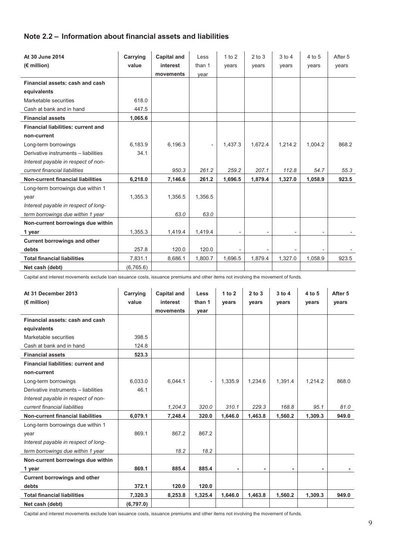#### **Note 2.2 – Information about financial assets and liabilities**

| At 30 June 2014                          | Carrying  | <b>Capital and</b> | Less    | 1 to 2  | $2$ to $3$               | $3$ to $4$                   | 4 to 5                   | After 5 |
|------------------------------------------|-----------|--------------------|---------|---------|--------------------------|------------------------------|--------------------------|---------|
| $(E$ million)                            | value     | interest           | than 1  | years   | years                    | years                        | years                    | years   |
|                                          |           | movements          | vear    |         |                          |                              |                          |         |
| Financial assets: cash and cash          |           |                    |         |         |                          |                              |                          |         |
| equivalents                              |           |                    |         |         |                          |                              |                          |         |
| Marketable securities                    | 618.0     |                    |         |         |                          |                              |                          |         |
| Cash at bank and in hand                 | 447.5     |                    |         |         |                          |                              |                          |         |
| <b>Financial assets</b>                  | 1,065.6   |                    |         |         |                          |                              |                          |         |
| Financial liabilities: current and       |           |                    |         |         |                          |                              |                          |         |
| non-current                              |           |                    |         |         |                          |                              |                          |         |
| Long-term borrowings                     | 6,183.9   | 6,196.3            |         | 1,437.3 | 1.672.4                  | 1,214.2                      | 1.004.2                  | 868.2   |
| Derivative instruments - liabilities     | 34.1      |                    |         |         |                          |                              |                          |         |
| Interest payable in respect of non-      |           |                    |         |         |                          |                              |                          |         |
| current financial liabilities            |           | 950.3              | 261.2   | 259.2   | 207.1                    | 112.8                        | 54.7                     | 55.3    |
| <b>Non-current financial liabilities</b> | 6,218.0   | 7,146.6            | 261.2   | 1,696.5 | 1,879.4                  | 1,327.0                      | 1,058.9                  | 923.5   |
| Long-term borrowings due within 1        |           |                    |         |         |                          |                              |                          |         |
| year                                     | 1,355.3   | 1,356.5            | 1,356.5 |         |                          |                              |                          |         |
| Interest payable in respect of long-     |           |                    |         |         |                          |                              |                          |         |
| term borrowings due within 1 year        |           | 63.0               | 63.0    |         |                          |                              |                          |         |
| Non-current borrowings due within        |           |                    |         |         |                          |                              |                          |         |
| 1 year                                   | 1,355.3   | 1,419.4            | 1,419.4 |         | $\overline{\phantom{a}}$ | $\overline{\phantom{0}}$     | $\overline{\phantom{0}}$ |         |
| <b>Current borrowings and other</b>      |           |                    |         |         |                          |                              |                          |         |
| debts                                    | 257.8     | 120.0              | 120.0   |         |                          | $\qquad \qquad \blacksquare$ |                          |         |
| <b>Total financial liabilities</b>       | 7,831.1   | 8,686.1            | 1,800.7 | 1,696.5 | 1,879.4                  | 1,327.0                      | 1,058.9                  | 923.5   |
| Net cash (debt)                          | (6,765.6) |                    |         |         |                          |                              |                          |         |

Capital and interest movements exclude loan issuance costs, issuance premiums and other items not involving the movement of funds.

| At 31 December 2013<br>$(E$ million)      | Carrying<br>value | <b>Capital and</b><br>interest | Less<br>than 1      | 1 to 2<br>years | $2$ to $3$<br>vears | $3$ to $4$<br>years | 4 to 5<br>years | After 5<br>years |
|-------------------------------------------|-------------------|--------------------------------|---------------------|-----------------|---------------------|---------------------|-----------------|------------------|
|                                           |                   | movements                      | year                |                 |                     |                     |                 |                  |
| Financial assets: cash and cash           |                   |                                |                     |                 |                     |                     |                 |                  |
| equivalents                               |                   |                                |                     |                 |                     |                     |                 |                  |
| Marketable securities                     | 398.5             |                                |                     |                 |                     |                     |                 |                  |
| Cash at bank and in hand                  | 124.8             |                                |                     |                 |                     |                     |                 |                  |
| <b>Financial assets</b>                   | 523.3             |                                |                     |                 |                     |                     |                 |                  |
| <b>Financial liabilities: current and</b> |                   |                                |                     |                 |                     |                     |                 |                  |
| non-current                               |                   |                                |                     |                 |                     |                     |                 |                  |
| Long-term borrowings                      | 6.033.0           | 6.044.1                        | $\bar{\phantom{a}}$ | 1,335.9         | 1.234.6             | 1,391.4             | 1.214.2         | 868.0            |
| Derivative instruments - liabilities      | 46.1              |                                |                     |                 |                     |                     |                 |                  |
| Interest payable in respect of non-       |                   |                                |                     |                 |                     |                     |                 |                  |
| current financial liabilities             |                   | 1.204.3                        | 320.0               | 310.1           | 229.3               | 168.8               | 95.1            | 81.0             |
| <b>Non-current financial liabilities</b>  | 6,079.1           | 7,248.4                        | 320.0               | 1,646.0         | 1,463.8             | 1,560.2             | 1,309.3         | 949.0            |
| Long-term borrowings due within 1         |                   |                                |                     |                 |                     |                     |                 |                  |
| year                                      | 869.1             | 867.2                          | 867.2               |                 |                     |                     |                 |                  |
| Interest payable in respect of long-      |                   |                                |                     |                 |                     |                     |                 |                  |
| term borrowings due within 1 year         |                   | 18.2                           | 18.2                |                 |                     |                     |                 |                  |
| Non-current borrowings due within         |                   |                                |                     |                 |                     |                     |                 |                  |
| 1 year                                    | 869.1             | 885.4                          | 885.4               |                 |                     |                     |                 |                  |
| <b>Current borrowings and other</b>       |                   |                                |                     |                 |                     |                     |                 |                  |
| debts                                     | 372.1             | 120.0                          | 120.0               |                 |                     |                     |                 |                  |
| <b>Total financial liabilities</b>        | 7,320.3           | 8,253.8                        | 1,325.4             | 1,646.0         | 1,463.8             | 1,560.2             | 1,309.3         | 949.0            |
| Net cash (debt)                           | (6,797.0)         |                                |                     |                 |                     |                     |                 |                  |

Capital and interest movements exclude loan issuance costs, issuance premiums and other items not involving the movement of funds.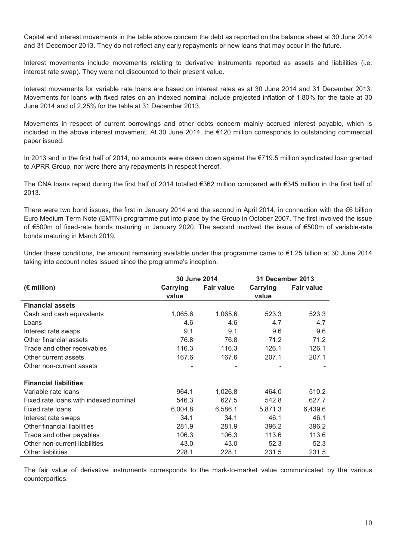Capital and interest movements in the table above concern the debt as reported on the balance sheet at 30 June 2014 and 31 December 2013. They do not reflect any early repayments or new loans that may occur in the future.

Interest movements include movements relating to derivative instruments reported as assets and liabilities (i.e. interest rate swap). They were not discounted to their present value.

Interest movements for variable rate loans are based on interest rates as at 30 June 2014 and 31 December 2013. Movements for loans with fixed rates on an indexed nominal include projected inflation of 1.80% for the table at 30 June 2014 and of 2.25% for the table at 31 December 2013.

Movements in respect of current borrowings and other debts concern mainly accrued interest payable, which is included in the above interest movement. At 30 June 2014, the €120 million corresponds to outstanding commercial paper issued.

In 2013 and in the first half of 2014, no amounts were drawn down against the €719.5 million syndicated loan granted to APRR Group, nor were there any repayments in respect thereof.

The CNA loans repaid during the first half of 2014 totalled €362 million compared with €345 million in the first half of 2013.

There were two bond issues, the first in January 2014 and the second in April 2014, in connection with the €6 billion Euro Medium Term Note (EMTN) programme put into place by the Group in October 2007. The first involved the issue of €500m of fixed-rate bonds maturing in January 2020. The second involved the issue of €500m of variable-rate bonds maturing in March 2019.

Under these conditions, the amount remaining available under this programme came to €1.25 billion at 30 June 2014 taking into account notes issued since the programme's inception.

|                                       | 30 June 2014      |                   | <b>31 December 2013</b> |                   |  |
|---------------------------------------|-------------------|-------------------|-------------------------|-------------------|--|
| $(E$ million)                         | Carrying<br>value | <b>Fair value</b> | Carrying<br>value       | <b>Fair value</b> |  |
| <b>Financial assets</b>               |                   |                   |                         |                   |  |
| Cash and cash equivalents             | 1,065.6           | 1,065.6           | 523.3                   | 523.3             |  |
| Loans                                 | 4.6               | 4.6               | 4.7                     | 4.7               |  |
| Interest rate swaps                   | 9.1               | 9.1               | 9.6                     | 9.6               |  |
| Other financial assets                | 76.8              | 76.8              | 71.2                    | 71.2              |  |
| Trade and other receivables           | 116.3             | 116.3             | 126.1                   | 126.1             |  |
| Other current assets                  | 167.6             | 167.6             | 207.1                   | 207.1             |  |
| Other non-current assets              |                   |                   |                         |                   |  |
| <b>Financial liabilities</b>          |                   |                   |                         |                   |  |
| Variable rate loans                   | 964.1             | 1,026.8           | 464.0                   | 510.2             |  |
| Fixed rate loans with indexed nominal | 546.3             | 627.5             | 542.8                   | 627.7             |  |
| Fixed rate loans                      | 6,004.8           | 6,586.1           | 5,871.3                 | 6,439.6           |  |
| Interest rate swaps                   | 34.1              | 34.1              | 46.1                    | 46.1              |  |
| Other financial liabilities           | 281.9             | 281.9             | 396.2                   | 396.2             |  |
| Trade and other payables              | 106.3             | 106.3             | 113.6                   | 113.6             |  |
| Other non-current liabilities         | 43.0              | 43.0              | 52.3                    | 52.3              |  |
| <b>Other liabilities</b>              | 228.1             | 228.1             | 231.5                   | 231.5             |  |

The fair value of derivative instruments corresponds to the mark-to-market value communicated by the various counterparties.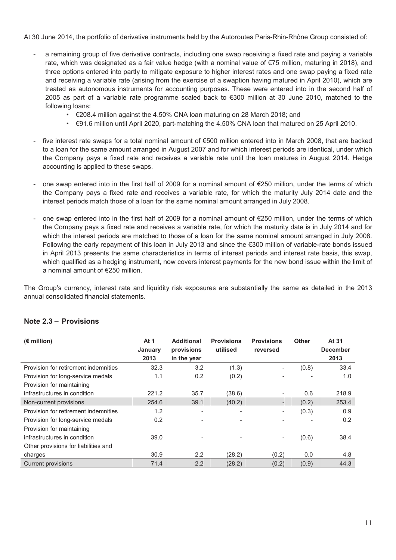At 30 June 2014, the portfolio of derivative instruments held by the Autoroutes Paris-Rhin-Rhône Group consisted of:

- a remaining group of five derivative contracts, including one swap receiving a fixed rate and paying a variable rate, which was designated as a fair value hedge (with a nominal value of €75 million, maturing in 2018), and three options entered into partly to mitigate exposure to higher interest rates and one swap paying a fixed rate and receiving a variable rate (arising from the exercise of a swaption having matured in April 2010), which are treated as autonomous instruments for accounting purposes. These were entered into in the second half of 2005 as part of a variable rate programme scaled back to €300 million at 30 June 2010, matched to the following loans:
	- €208.4 million against the 4.50% CNA loan maturing on 28 March 2018; and
	- $\cdot$   $\in$ 91.6 million until April 2020, part-matching the 4.50% CNA loan that matured on 25 April 2010.
- five interest rate swaps for a total nominal amount of €500 million entered into in March 2008, that are backed to a loan for the same amount arranged in August 2007 and for which interest periods are identical, under which the Company pays a fixed rate and receives a variable rate until the loan matures in August 2014. Hedge accounting is applied to these swaps.
- one swap entered into in the first half of 2009 for a nominal amount of €250 million, under the terms of which the Company pays a fixed rate and receives a variable rate, for which the maturity July 2014 date and the interest periods match those of a loan for the same nominal amount arranged in July 2008.
- one swap entered into in the first half of 2009 for a nominal amount of €250 million, under the terms of which the Company pays a fixed rate and receives a variable rate, for which the maturity date is in July 2014 and for which the interest periods are matched to those of a loan for the same nominal amount arranged in July 2008. Following the early repayment of this loan in July 2013 and since the €300 million of variable-rate bonds issued in April 2013 presents the same characteristics in terms of interest periods and interest rate basis, this swap, which qualified as a hedging instrument, now covers interest payments for the new bond issue within the limit of a nominal amount of €250 million.

The Group's currency, interest rate and liquidity risk exposures are substantially the same as detailed in the 2013 annual consolidated financial statements.

#### **Note 2.3 – Provisions**

| $(E \text{ million})$                | At 1<br>January | <b>Additional</b><br>provisions | <b>Provisions</b><br>utilised | <b>Provisions</b><br>reversed | <b>Other</b> | At 31<br><b>December</b> |
|--------------------------------------|-----------------|---------------------------------|-------------------------------|-------------------------------|--------------|--------------------------|
|                                      | 2013            | in the year                     |                               |                               |              | 2013                     |
| Provision for retirement indemnities | 32.3            | 3.2                             | (1.3)                         |                               | (0.8)        | 33.4                     |
| Provision for long-service medals    | 1.1             | 0.2                             | (0.2)                         |                               |              | 1.0                      |
| Provision for maintaining            |                 |                                 |                               |                               |              |                          |
| infrastructures in condition         | 221.2           | 35.7                            | (38.6)                        | -                             | 0.6          | 218.9                    |
| Non-current provisions               | 254.6           | 39.1                            | (40.2)                        |                               | (0.2)        | 253.4                    |
| Provision for retirement indemnities | 1.2             |                                 |                               |                               | (0.3)        | 0.9                      |
| Provision for long-service medals    | 0.2             |                                 |                               |                               |              | 0.2                      |
| Provision for maintaining            |                 |                                 |                               |                               |              |                          |
| infrastructures in condition         | 39.0            |                                 |                               |                               | (0.6)        | 38.4                     |
| Other provisions for liabilities and |                 |                                 |                               |                               |              |                          |
| charges                              | 30.9            | 2.2                             | (28.2)                        | (0.2)                         | 0.0          | 4.8                      |
| <b>Current provisions</b>            | 71.4            | 2.2                             | (28.2)                        | (0.2)                         | (0.9)        | 44.3                     |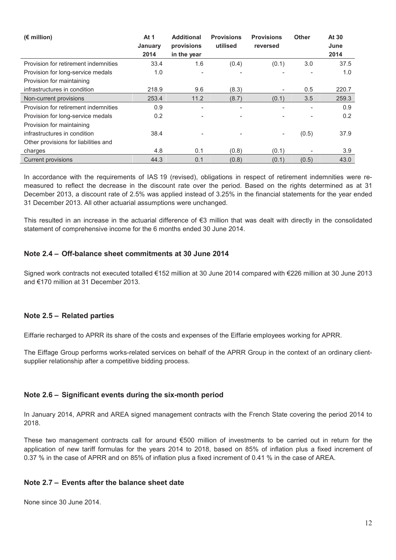| $(E \text{ million})$                | At 1<br>January<br>2014 | <b>Additional</b><br>provisions<br>in the year | <b>Provisions</b><br>utilised | <b>Provisions</b><br>reversed | <b>Other</b> | At 30<br>June<br>2014 |
|--------------------------------------|-------------------------|------------------------------------------------|-------------------------------|-------------------------------|--------------|-----------------------|
| Provision for retirement indemnities | 33.4                    | 1.6                                            | (0.4)                         | (0.1)                         | 3.0          | 37.5                  |
| Provision for long-service medals    | 1.0                     | $\overline{\phantom{a}}$                       |                               |                               |              | 1.0                   |
| Provision for maintaining            |                         |                                                |                               |                               |              |                       |
| infrastructures in condition         | 218.9                   | 9.6                                            | (8.3)                         |                               | 0.5          | 220.7                 |
| Non-current provisions               | 253.4                   | 11.2                                           | (8.7)                         | (0.1)                         | 3.5          | 259.3                 |
| Provision for retirement indemnities | 0.9                     | $\overline{\phantom{a}}$                       |                               |                               | ۰            | 0.9                   |
| Provision for long-service medals    | 0.2                     |                                                |                               |                               |              | 0.2                   |
| Provision for maintaining            |                         |                                                |                               |                               |              |                       |
| infrastructures in condition         | 38.4                    |                                                |                               |                               | (0.5)        | 37.9                  |
| Other provisions for liabilities and |                         |                                                |                               |                               |              |                       |
| charges                              | 4.8                     | 0.1                                            | (0.8)                         | (0.1)                         |              | 3.9                   |
| <b>Current provisions</b>            | 44.3                    | 0.1                                            | (0.8)                         | (0.1)                         | (0.5)        | 43.0                  |

In accordance with the requirements of IAS 19 (revised), obligations in respect of retirement indemnities were remeasured to reflect the decrease in the discount rate over the period. Based on the rights determined as at 31 December 2013, a discount rate of 2.5% was applied instead of 3.25% in the financial statements for the year ended 31 December 2013. All other actuarial assumptions were unchanged.

This resulted in an increase in the actuarial difference of  $\epsilon$ 3 million that was dealt with directly in the consolidated statement of comprehensive income for the 6 months ended 30 June 2014.

#### **Note 2.4 – Off-balance sheet commitments at 30 June 2014**

Signed work contracts not executed totalled €152 million at 30 June 2014 compared with €226 million at 30 June 2013 and €170 million at 31 December 2013.

#### **Note 2.5 – Related parties**

Eiffarie recharged to APRR its share of the costs and expenses of the Eiffarie employees working for APRR.

The Eiffage Group performs works-related services on behalf of the APRR Group in the context of an ordinary clientsupplier relationship after a competitive bidding process.

#### **Note 2.6 – Significant events during the six-month period**

In January 2014, APRR and AREA signed management contracts with the French State covering the period 2014 to 2018.

These two management contracts call for around €500 million of investments to be carried out in return for the application of new tariff formulas for the years 2014 to 2018, based on 85% of inflation plus a fixed increment of 0.37 % in the case of APRR and on 85% of inflation plus a fixed increment of 0.41 % in the case of AREA.

#### **Note 2.7 – Events after the balance sheet date**

None since 30 June 2014.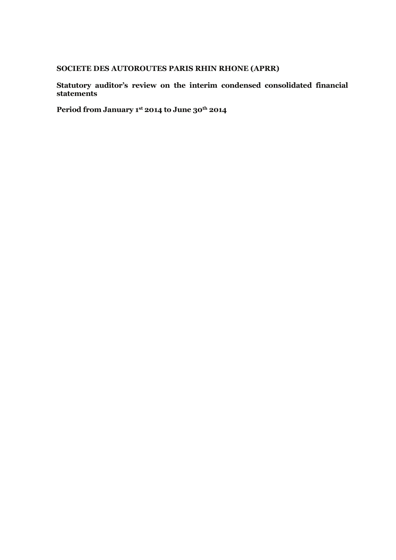#### **SOCIETE DES AUTOROUTES PARIS RHIN RHONE (APRR)**

**Statutory auditor's review on the interim condensed consolidated financial statements**

**Period from January 1st 2014 to June 30th 2014**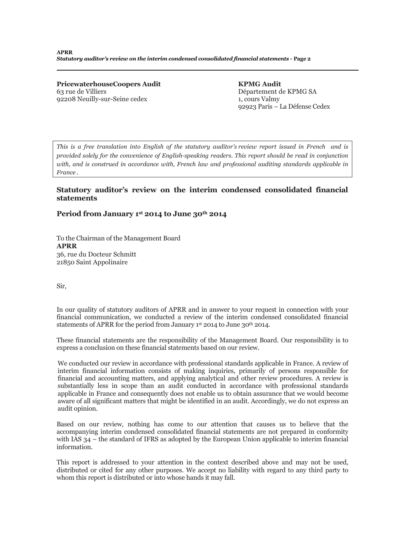**PricewaterhouseCoopers Audit** 63 rue de Villiers 92208 Neuilly-sur-Seine cedex

**KPMG Audit** Département de KPMG SA 1, cours Valmy 92923 Paris – La Défense Cedex

*This is a free translation into English of the statutory auditor's review report issued in French and is provided solely for the convenience of English-speaking readers. This report should be read in conjunction with, and is construed in accordance with, French law and professional auditing standards applicable in France.*

#### **Statutory auditor's review on the interim condensed consolidated financial statements**

#### **Period from January 1st 2014 to June 30th 2014**

To the Chairman of the Management Board **APRR** 36, rue du Docteur Schmitt 21850 Saint Appolinaire

Sir,

In our quality of statutory auditors of APRR and in answer to your request in connection with your financial communication, we conducted a review of the interim condensed consolidated financial statements of APRR for the period from January 1st 2014 to June 30th 2014.

These financial statements are the responsibility of the Management Board. Our responsibility is to express a conclusion on these financial statements based on our review.

We conducted our review in accordance with professional standards applicable in France. A review of interim financial information consists of making inquiries, primarily of persons responsible for financial and accounting matters, and applying analytical and other review procedures. A review is substantially less in scope than an audit conducted in accordance with professional standards applicable in France and consequently does not enable us to obtain assurance that we would become aware of all significant matters that might be identified in an audit. Accordingly, we do not express an audit opinion.

Based on our review, nothing has come to our attention that causes us to believe that the accompanying interim condensed consolidated financial statements are not prepared in conformity with IAS 34 – the standard of IFRS as adopted by the European Union applicable to interim financial information.

This report is addressed to your attention in the context described above and may not be used, distributed or cited for any other purposes. We accept no liability with regard to any third party to whom this report is distributed or into whose hands it may fall.